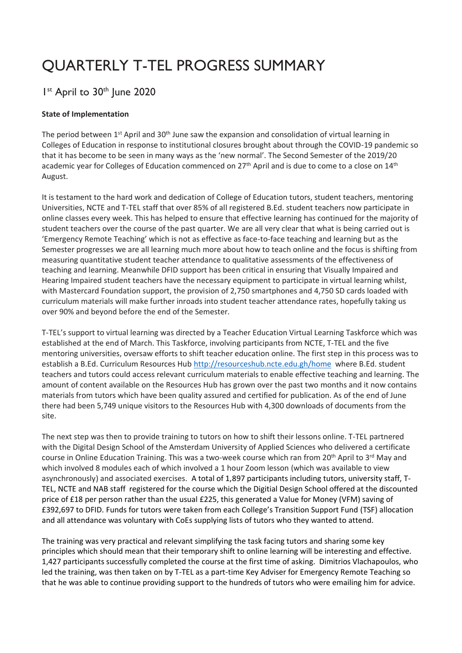# QUARTERLY T-TEL PROGRESS SUMMARY

# I<sup>st</sup> April to 30<sup>th</sup> June 2020

#### **State of Implementation**

The period between 1<sup>st</sup> April and 30<sup>th</sup> June saw the expansion and consolidation of virtual learning in Colleges of Education in response to institutional closures brought about through the COVID-19 pandemic so that it has become to be seen in many ways as the 'new normal'. The Second Semester of the 2019/20 academic year for Colleges of Education commenced on 27<sup>th</sup> April and is due to come to a close on 14<sup>th</sup> August.

It is testament to the hard work and dedication of College of Education tutors, student teachers, mentoring Universities, NCTE and T-TEL staff that over 85% of all registered B.Ed. student teachers now participate in online classes every week. This has helped to ensure that effective learning has continued for the majority of student teachers over the course of the past quarter. We are all very clear that what is being carried out is 'Emergency Remote Teaching' which is not as effective as face-to-face teaching and learning but as the Semester progresses we are all learning much more about how to teach online and the focus is shifting from measuring quantitative student teacher attendance to qualitative assessments of the effectiveness of teaching and learning. Meanwhile DFID support has been critical in ensuring that Visually Impaired and Hearing Impaired student teachers have the necessary equipment to participate in virtual learning whilst, with Mastercard Foundation support, the provision of 2,750 smartphones and 4,750 SD cards loaded with curriculum materials will make further inroads into student teacher attendance rates, hopefully taking us over 90% and beyond before the end of the Semester.

T-TEL's support to virtual learning was directed by a Teacher Education Virtual Learning Taskforce which was established at the end of March. This Taskforce, involving participants from NCTE, T-TEL and the five mentoring universities, oversaw efforts to shift teacher education online. The first step in this process was to establish a B.Ed. Curriculum Resources Hub<http://resourceshub.ncte.edu.gh/home>where B.Ed. student teachers and tutors could access relevant curriculum materials to enable effective teaching and learning. The amount of content available on the Resources Hub has grown over the past two months and it now contains materials from tutors which have been quality assured and certified for publication. As of the end of June there had been 5,749 unique visitors to the Resources Hub with 4,300 downloads of documents from the site.

The next step was then to provide training to tutors on how to shift their lessons online. T-TEL partnered with the Digital Design School of the Amsterdam University of Applied Sciences who delivered a certificate course in Online Education Training. This was a two-week course which ran from 20<sup>th</sup> April to 3<sup>rd</sup> May and which involved 8 modules each of which involved a 1 hour Zoom lesson (which was available to view asynchronously) and associated exercises. A total of 1,897 participants including tutors, university staff, T-TEL, NCTE and NAB staff registered for the course which the Digitial Design School offered at the discounted price of £18 per person rather than the usual £225, this generated a Value for Money (VFM) saving of £392,697 to DFID. Funds for tutors were taken from each College's Transition Support Fund (TSF) allocation and all attendance was voluntary with CoEs supplying lists of tutors who they wanted to attend.

The training was very practical and relevant simplifying the task facing tutors and sharing some key principles which should mean that their temporary shift to online learning will be interesting and effective. 1,427 participants successfully completed the course at the first time of asking. Dimitrios Vlachapoulos, who led the training, was then taken on by T-TEL as a part-time Key Adviser for Emergency Remote Teaching so that he was able to continue providing support to the hundreds of tutors who were emailing him for advice.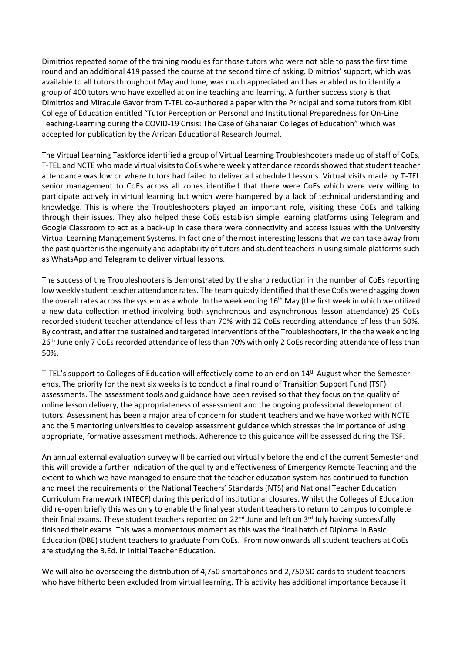Dimitrios repeated some of the training modules for those tutors who were not able to pass the first time round and an additional 419 passed the course at the second time of asking. Dimitrios' support, which was available to all tutors throughout May and June, was much appreciated and has enabled us to identify a group of 400 tutors who have excelled at online teaching and learning. A further success story is that Dimitrios and Miracule Gavor from T-TEL co-authored a paper with the Principal and some tutors from Kibi College of Education entitled "Tutor Perception on Personal and Institutional Preparedness for On-Line Teaching-Learning during the COVID-19 Crisis: The Case of Ghanaian Colleges of Education" which was accepted for publication by the African Educational Research Journal.

The Virtual Learning Taskforce identified a group of Virtual Learning Troubleshooters made up of staff of CoEs, T-TEL and NCTE who made virtual visits to CoEs where weekly attendance records showed that student teacher attendance was low or where tutors had failed to deliver all scheduled lessons. Virtual visits made by T-TEL senior management to CoEs across all zones identified that there were CoEs which were very willing to participate actively in virtual learning but which were hampered by a lack of technical understanding and knowledge. This is where the Troubleshooters played an important role, visiting these CoEs and talking through their issues. They also helped these CoEs establish simple learning platforms using Telegram and Google Classroom to act as a back-up in case there were connectivity and access issues with the University Virtual Learning Management Systems. In fact one of the most interesting lessons that we can take away from the past quarter is the ingenuity and adaptability of tutors and student teachers in using simple platforms such as WhatsApp and Telegram to deliver virtual lessons.

The success of the Troubleshooters is demonstrated by the sharp reduction in the number of CoEs reporting low weekly student teacher attendance rates. The team quickly identified that these CoEs were dragging down the overall rates across the system as a whole. In the week ending 16<sup>th</sup> May (the first week in which we utilized a new data collection method involving both synchronous and asynchronous lesson attendance) 25 CoEs recorded student teacher attendance of less than 70% with 12 CoEs recording attendance of less than 50%. By contrast, and after the sustained and targeted interventions of the Troubleshooters, in the the week ending 26<sup>th</sup> June only 7 CoEs recorded attendance of less than 70% with only 2 CoEs recording attendance of less than 50%.

T-TEL's support to Colleges of Education will effectively come to an end on 14<sup>th</sup> August when the Semester ends. The priority for the next six weeks is to conduct a final round of Transition Support Fund (TSF) assessments. The assessment tools and guidance have been revised so that they focus on the quality of online lesson delivery, the appropriateness of assessment and the ongoing professional development of tutors. Assessment has been a major area of concern for student teachers and we have worked with NCTE and the 5 mentoring universities to develop assessment guidance which stresses the importance of using appropriate, formative assessment methods. Adherence to this guidance will be assessed during the TSF.

An annual external evaluation survey will be carried out virtually before the end of the current Semester and this will provide a further indication of the quality and effectiveness of Emergency Remote Teaching and the extent to which we have managed to ensure that the teacher education system has continued to function and meet the requirements of the National Teachers' Standards (NTS) and National Teacher Education Curriculum Framework (NTECF) during this period of institutional closures. Whilst the Colleges of Education did re-open briefly this was only to enable the final year student teachers to return to campus to complete their final exams. These student teachers reported on  $22^{nd}$  June and left on  $3^{rd}$  July having successfully finished their exams. This was a momentous moment as this was the final batch of Diploma in Basic Education (DBE) student teachers to graduate from CoEs. From now onwards all student teachers at CoEs are studying the B.Ed. in Initial Teacher Education.

We will also be overseeing the distribution of 4,750 smartphones and 2,750 SD cards to student teachers who have hitherto been excluded from virtual learning. This activity has additional importance because it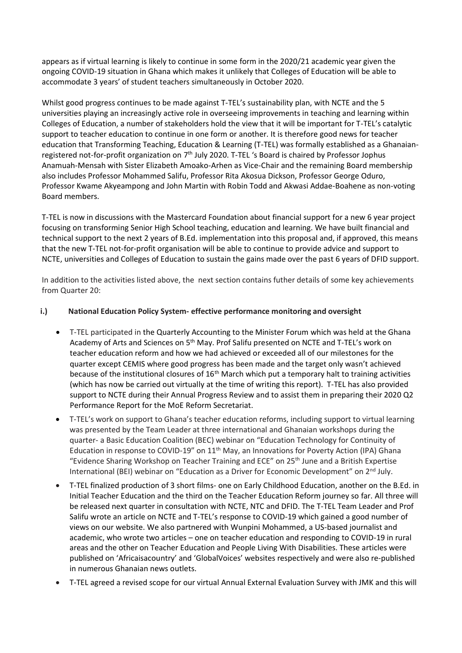appears as if virtual learning is likely to continue in some form in the 2020/21 academic year given the ongoing COVID-19 situation in Ghana which makes it unlikely that Colleges of Education will be able to accommodate 3 years' of student teachers simultaneously in October 2020.

Whilst good progress continues to be made against T-TEL's sustainability plan, with NCTE and the 5 universities playing an increasingly active role in overseeing improvements in teaching and learning within Colleges of Education, a number of stakeholders hold the view that it will be important for T-TEL's catalytic support to teacher education to continue in one form or another. It is therefore good news for teacher education that Transforming Teaching, Education & Learning (T-TEL) was formally established as a Ghanaianregistered not-for-profit organization on 7th July 2020. T-TEL 's Board is chaired by Professor Jophus Anamuah-Mensah with Sister Elizabeth Amoako-Arhen as Vice-Chair and the remaining Board membership also includes Professor Mohammed Salifu, Professor Rita Akosua Dickson, Professor George Oduro, Professor Kwame Akyeampong and John Martin with Robin Todd and Akwasi Addae-Boahene as non-voting Board members.

T-TEL is now in discussions with the Mastercard Foundation about financial support for a new 6 year project focusing on transforming Senior High School teaching, education and learning. We have built financial and technical support to the next 2 years of B.Ed. implementation into this proposal and, if approved, this means that the new T-TEL not-for-profit organisation will be able to continue to provide advice and support to NCTE, universities and Colleges of Education to sustain the gains made over the past 6 years of DFID support.

In addition to the activities listed above, the next section contains futher details of some key achievements from Quarter 20:

#### **i.) National Education Policy System- effective performance monitoring and oversight**

- T-TEL participated in the Quarterly Accounting to the Minister Forum which was held at the Ghana Academy of Arts and Sciences on 5th May. Prof Salifu presented on NCTE and T-TEL's work on teacher education reform and how we had achieved or exceeded all of our milestones for the quarter except CEMIS where good progress has been made and the target only wasn't achieved because of the institutional closures of 16<sup>th</sup> March which put a temporary halt to training activities (which has now be carried out virtually at the time of writing this report). T-TEL has also provided support to NCTE during their Annual Progress Review and to assist them in preparing their 2020 Q2 Performance Report for the MoE Reform Secretariat.
- T-TEL's work on support to Ghana's teacher education reforms, including support to virtual learning was presented by the Team Leader at three international and Ghanaian workshops during the quarter- a Basic Education Coalition (BEC) webinar on "Education Technology for Continuity of Education in response to COVID-19" on  $11<sup>th</sup>$  May, an Innovations for Poverty Action (IPA) Ghana "Evidence Sharing Workshop on Teacher Training and ECE" on 25th June and a British Expertise International (BEI) webinar on "Education as a Driver for Economic Development" on 2nd July.
- T-TEL finalized production of 3 short films- one on Early Childhood Education, another on the B.Ed. in Initial Teacher Education and the third on the Teacher Education Reform journey so far. All three will be released next quarter in consultation with NCTE, NTC and DFID. The T-TEL Team Leader and Prof Salifu wrote an article on NCTE and T-TEL's response to COVID-19 which gained a good number of views on our website. We also partnered with Wunpini Mohammed, a US-based journalist and academic, who wrote two articles – one on teacher education and responding to COVID-19 in rural areas and the other on Teacher Education and People Living With Disabilities. These articles were published on 'Africaisacountry' and 'GlobalVoices' websites respectively and were also re-published in numerous Ghanaian news outlets.
- T-TEL agreed a revised scope for our virtual Annual External Evaluation Survey with JMK and this will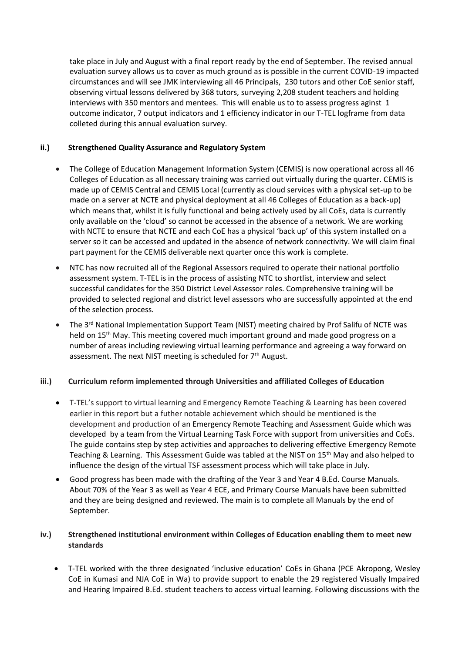take place in July and August with a final report ready by the end of September. The revised annual evaluation survey allows us to cover as much ground as is possible in the current COVID-19 impacted circumstances and will see JMK interviewing all 46 Principals, 230 tutors and other CoE senior staff, observing virtual lessons delivered by 368 tutors, surveying 2,208 student teachers and holding interviews with 350 mentors and mentees. This will enable us to to assess progress aginst 1 outcome indicator, 7 output indicators and 1 efficiency indicator in our T-TEL logframe from data colleted during this annual evaluation survey.

#### **ii.) Strengthened Quality Assurance and Regulatory System**

- The College of Education Management Information System (CEMIS) is now operational across all 46 Colleges of Education as all necessary training was carried out virtually during the quarter. CEMIS is made up of CEMIS Central and CEMIS Local (currently as cloud services with a physical set-up to be made on a server at NCTE and physical deployment at all 46 Colleges of Education as a back-up) which means that, whilst it is fully functional and being actively used by all CoEs, data is currently only available on the 'cloud' so cannot be accessed in the absence of a network. We are working with NCTE to ensure that NCTE and each CoE has a physical 'back up' of this system installed on a server so it can be accessed and updated in the absence of network connectivity. We will claim final part payment for the CEMIS deliverable next quarter once this work is complete.
- NTC has now recruited all of the Regional Assessors required to operate their national portfolio assessment system. T-TEL is in the process of assisting NTC to shortlist, interview and select successful candidates for the 350 District Level Assessor roles. Comprehensive training will be provided to selected regional and district level assessors who are successfully appointed at the end of the selection process.
- The 3<sup>rd</sup> National Implementation Support Team (NIST) meeting chaired by Prof Salifu of NCTE was held on 15<sup>th</sup> May. This meeting covered much important ground and made good progress on a number of areas including reviewing virtual learning performance and agreeing a way forward on assessment. The next NIST meeting is scheduled for 7<sup>th</sup> August.

#### **iii.) Curriculum reform implemented through Universities and affiliated Colleges of Education**

- T-TEL's support to virtual learning and Emergency Remote Teaching & Learning has been covered earlier in this report but a futher notable achievement which should be mentioned is the development and production of an Emergency Remote Teaching and Assessment Guide which was developed by a team from the Virtual Learning Task Force with support from universities and CoEs. The guide contains step by step activities and approaches to delivering effective Emergency Remote Teaching & Learning. This Assessment Guide was tabled at the NIST on 15th May and also helped to influence the design of the virtual TSF assessment process which will take place in July.
- Good progress has been made with the drafting of the Year 3 and Year 4 B.Ed. Course Manuals. About 70% of the Year 3 as well as Year 4 ECE, and Primary Course Manuals have been submitted and they are being designed and reviewed. The main is to complete all Manuals by the end of September.

#### **iv.) Strengthened institutional environment within Colleges of Education enabling them to meet new standards**

• T-TEL worked with the three designated 'inclusive education' CoEs in Ghana (PCE Akropong, Wesley CoE in Kumasi and NJA CoE in Wa) to provide support to enable the 29 registered Visually Impaired and Hearing Impaired B.Ed. student teachers to access virtual learning. Following discussions with the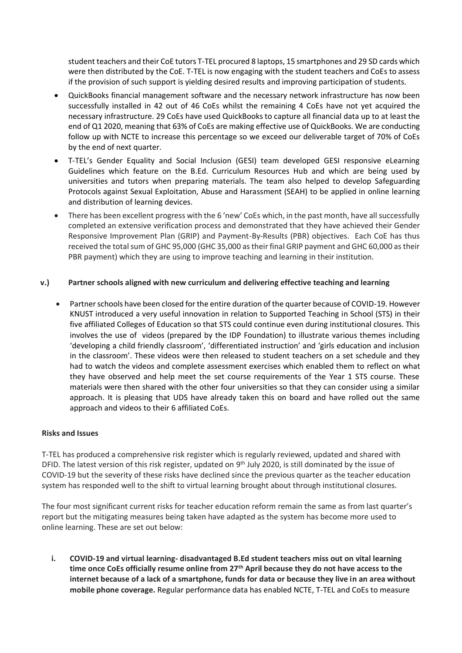student teachers and their CoE tutors T-TEL procured 8 laptops, 15 smartphones and 29 SD cards which were then distributed by the CoE. T-TEL is now engaging with the student teachers and CoEs to assess if the provision of such support is yielding desired results and improving participation of students.

- QuickBooks financial management software and the necessary network infrastructure has now been successfully installed in 42 out of 46 CoEs whilst the remaining 4 CoEs have not yet acquired the necessary infrastructure. 29 CoEs have used QuickBooks to capture all financial data up to at least the end of Q1 2020, meaning that 63% of CoEs are making effective use of QuickBooks. We are conducting follow up with NCTE to increase this percentage so we exceed our deliverable target of 70% of CoEs by the end of next quarter.
- T-TEL's Gender Equality and Social Inclusion (GESI) team developed GESI responsive eLearning Guidelines which feature on the B.Ed. Curriculum Resources Hub and which are being used by universities and tutors when preparing materials. The team also helped to develop Safeguarding Protocols against Sexual Exploitation, Abuse and Harassment (SEAH) to be applied in online learning and distribution of learning devices.
- There has been excellent progress with the 6 'new' CoEs which, in the past month, have all successfully completed an extensive verification process and demonstrated that they have achieved their Gender Responsive Improvement Plan (GRIP) and Payment-By-Results (PBR) objectives. Each CoE has thus received the total sum of GHC 95,000 (GHC 35,000 as their final GRIP payment and GHC 60,000 as their PBR payment) which they are using to improve teaching and learning in their institution.

#### **v.) Partner schools aligned with new curriculum and delivering effective teaching and learning**

• Partner schools have been closed for the entire duration of the quarter because of COVID-19. However KNUST introduced a very useful innovation in relation to Supported Teaching in School (STS) in their five affiliated Colleges of Education so that STS could continue even during institutional closures. This involves the use of videos (prepared by the IDP Foundation) to illustrate various themes including 'developing a child friendly classroom', 'differentiated instruction' and 'girls education and inclusion in the classroom'. These videos were then released to student teachers on a set schedule and they had to watch the videos and complete assessment exercises which enabled them to reflect on what they have observed and help meet the set course requirements of the Year 1 STS course. These materials were then shared with the other four universities so that they can consider using a similar approach. It is pleasing that UDS have already taken this on board and have rolled out the same approach and videos to their 6 affiliated CoEs.

#### **Risks and Issues**

T-TEL has produced a comprehensive risk register which is regularly reviewed, updated and shared with DFID. The latest version of this risk register, updated on 9<sup>th</sup> July 2020, is still dominated by the issue of COVID-19 but the severity of these risks have declined since the previous quarter as the teacher education system has responded well to the shift to virtual learning brought about through institutional closures.

The four most significant current risks for teacher education reform remain the same as from last quarter's report but the mitigating measures being taken have adapted as the system has become more used to online learning. These are set out below:

**i. COVID-19 and virtual learning- disadvantaged B.Ed student teachers miss out on vital learning time once CoEs officially resume online from 27th April because they do not have access to the internet because of a lack of a smartphone, funds for data or because they live in an area without mobile phone coverage.** Regular performance data has enabled NCTE, T-TEL and CoEs to measure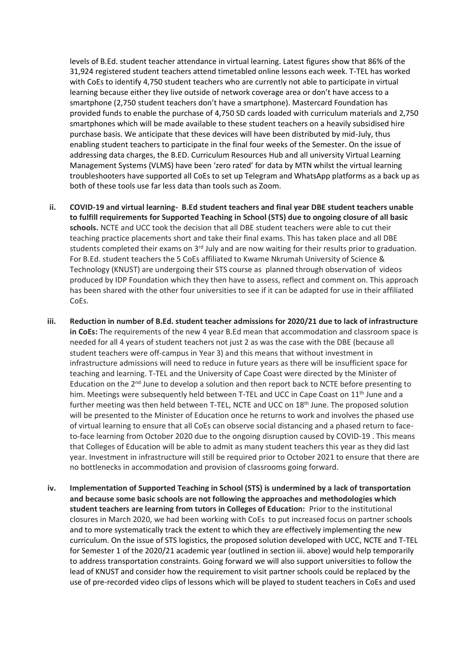levels of B.Ed. student teacher attendance in virtual learning. Latest figures show that 86% of the 31,924 registered student teachers attend timetabled online lessons each week. T-TEL has worked with CoEs to identify 4,750 student teachers who are currently not able to participate in virtual learning because either they live outside of network coverage area or don't have access to a smartphone (2,750 student teachers don't have a smartphone). Mastercard Foundation has provided funds to enable the purchase of 4,750 SD cards loaded with curriculum materials and 2,750 smartphones which will be made available to these student teachers on a heavily subsidised hire purchase basis. We anticipate that these devices will have been distributed by mid-July, thus enabling student teachers to participate in the final four weeks of the Semester. On the issue of addressing data charges, the B.ED. Curriculum Resources Hub and all university Virtual Learning Management Systems (VLMS) have been 'zero rated' for data by MTN whilst the virtual learning troubleshooters have supported all CoEs to set up Telegram and WhatsApp platforms as a back up as both of these tools use far less data than tools such as Zoom.

- **ii. COVID-19 and virtual learning- B.Ed student teachers and final year DBE student teachers unable to fulfill requirements for Supported Teaching in School (STS) due to ongoing closure of all basic schools.** NCTE and UCC took the decision that all DBE student teachers were able to cut their teaching practice placements short and take their final exams. This has taken place and all DBE students completed their exams on 3<sup>rd</sup> July and are now waiting for their results prior to graduation. For B.Ed. student teachers the 5 CoEs affiliated to Kwame Nkrumah University of Science & Technology (KNUST) are undergoing their STS course as planned through observation of videos produced by IDP Foundation which they then have to assess, reflect and comment on. This approach has been shared with the other four universities to see if it can be adapted for use in their affiliated CoEs.
- **iii. Reduction in number of B.Ed. student teacher admissions for 2020/21 due to lack of infrastructure in CoEs:** The requirements of the new 4 year B.Ed mean that accommodation and classroom space is needed for all 4 years of student teachers not just 2 as was the case with the DBE (because all student teachers were off-campus in Year 3) and this means that without investment in infrastructure admissions will need to reduce in future years as there will be insufficient space for teaching and learning. T-TEL and the University of Cape Coast were directed by the Minister of Education on the  $2<sup>nd</sup>$  June to develop a solution and then report back to NCTE before presenting to him. Meetings were subsequently held between T-TEL and UCC in Cape Coast on 11<sup>th</sup> June and a further meeting was then held between T-TEL, NCTE and UCC on 18<sup>th</sup> June. The proposed solution will be presented to the Minister of Education once he returns to work and involves the phased use of virtual learning to ensure that all CoEs can observe social distancing and a phased return to faceto-face learning from October 2020 due to the ongoing disruption caused by COVID-19 . This means that Colleges of Education will be able to admit as many student teachers this year as they did last year. Investment in infrastructure will still be required prior to October 2021 to ensure that there are no bottlenecks in accommodation and provision of classrooms going forward.
- **iv. Implementation of Supported Teaching in School (STS) is undermined by a lack of transportation and because some basic schools are not following the approaches and methodologies which student teachers are learning from tutors in Colleges of Education:** Prior to the institutional closures in March 2020, we had been working with CoEs to put increased focus on partner schools and to more systematically track the extent to which they are effectively implementing the new curriculum. On the issue of STS logistics, the proposed solution developed with UCC, NCTE and T-TEL for Semester 1 of the 2020/21 academic year (outlined in section iii. above) would help temporarily to address transportation constraints. Going forward we will also support universities to follow the lead of KNUST and consider how the requirement to visit partner schools could be replaced by the use of pre-recorded video clips of lessons which will be played to student teachers in CoEs and used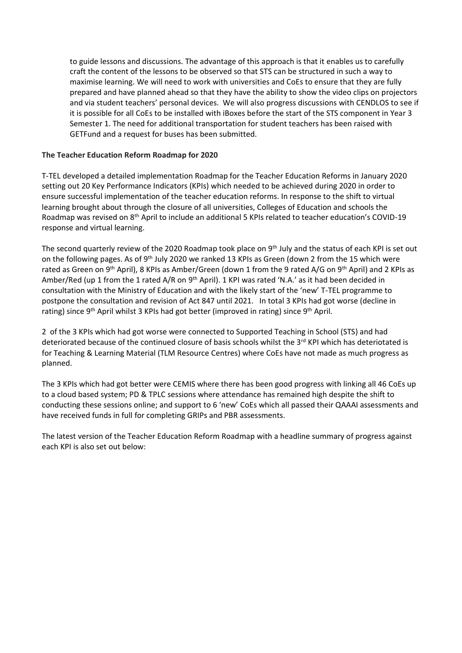to guide lessons and discussions. The advantage of this approach is that it enables us to carefully craft the content of the lessons to be observed so that STS can be structured in such a way to maximise learning. We will need to work with universities and CoEs to ensure that they are fully prepared and have planned ahead so that they have the ability to show the video clips on projectors and via student teachers' personal devices. We will also progress discussions with CENDLOS to see if it is possible for all CoEs to be installed with iBoxes before the start of the STS component in Year 3 Semester 1. The need for additional transportation for student teachers has been raised with GETFund and a request for buses has been submitted.

#### **The Teacher Education Reform Roadmap for 2020**

T-TEL developed a detailed implementation Roadmap for the Teacher Education Reforms in January 2020 setting out 20 Key Performance Indicators (KPIs) which needed to be achieved during 2020 in order to ensure successful implementation of the teacher education reforms. In response to the shift to virtual learning brought about through the closure of all universities, Colleges of Education and schools the Roadmap was revised on 8th April to include an additional 5 KPIs related to teacher education's COVID-19 response and virtual learning.

The second quarterly review of the 2020 Roadmap took place on 9<sup>th</sup> July and the status of each KPI is set out on the following pages. As of 9<sup>th</sup> July 2020 we ranked 13 KPIs as Green (down 2 from the 15 which were rated as Green on 9th April), 8 KPIs as Amber/Green (down 1 from the 9 rated A/G on 9th April) and 2 KPIs as Amber/Red (up 1 from the 1 rated A/R on 9<sup>th</sup> April). 1 KPI was rated 'N.A.' as it had been decided in consultation with the Ministry of Education and with the likely start of the 'new' T-TEL programme to postpone the consultation and revision of Act 847 until 2021. In total 3 KPIs had got worse (decline in rating) since 9<sup>th</sup> April whilst 3 KPIs had got better (improved in rating) since 9<sup>th</sup> April.

2 of the 3 KPIs which had got worse were connected to Supported Teaching in School (STS) and had deteriorated because of the continued closure of basis schools whilst the 3<sup>rd</sup> KPI which has deteriotated is for Teaching & Learning Material (TLM Resource Centres) where CoEs have not made as much progress as planned.

The 3 KPIs which had got better were CEMIS where there has been good progress with linking all 46 CoEs up to a cloud based system; PD & TPLC sessions where attendance has remained high despite the shift to conducting these sessions online; and support to 6 'new' CoEs which all passed their QAAAI assessments and have received funds in full for completing GRIPs and PBR assessments.

The latest version of the Teacher Education Reform Roadmap with a headline summary of progress against each KPI is also set out below: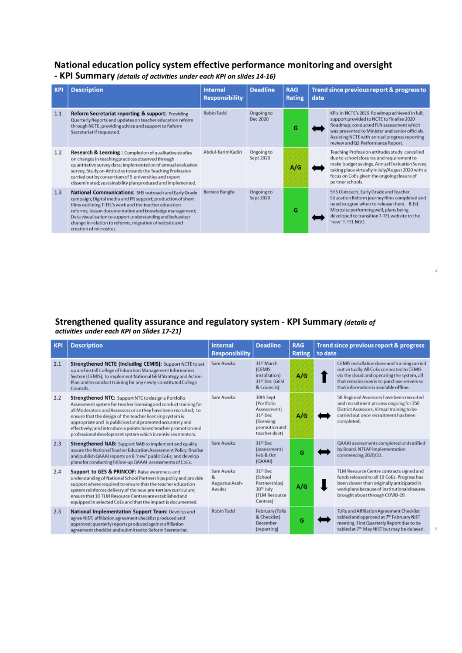## National education policy system effective performance monitoring and oversight

- KPI Summary (details of activities under each KPI on slides 14-16)

| <b>KPI</b> | <b>Description</b>                                                                                                                                                                                                                                                                                                                                                                           | <b>Internal</b><br><b>Responsibility</b> | <b>Deadline</b>         | <b>RAG</b><br>Rating | date | Trend since previous report & progress to                                                                                                                                                                                                                                      |  |
|------------|----------------------------------------------------------------------------------------------------------------------------------------------------------------------------------------------------------------------------------------------------------------------------------------------------------------------------------------------------------------------------------------------|------------------------------------------|-------------------------|----------------------|------|--------------------------------------------------------------------------------------------------------------------------------------------------------------------------------------------------------------------------------------------------------------------------------|--|
| 1.1        | Reform Secretariat reporting & support: Providing<br>Quarterly Reports and updates on teacher education reform<br>through NCTE; providing advice and support to Reform<br>Secretariat if requested.                                                                                                                                                                                          | Robin Todd                               | Ongoing to<br>Dec 2020  | G                    |      | KPIs in NCTE's 2019 Roadmap achieved in full;<br>support provided to NCTE to finalise 2020<br>Roadmap; conducted FLN assessment which<br>was presented to Minister and senior officials.<br>Assisting NCTE with annual progress reporting<br>review and Q2 Performance Report. |  |
| 1.2        | Research & Learning: Completion of qualitative studies<br>on changes in teaching practices observed through<br>quantitative survey data; implementation of annual evaluation<br>survey; Study on Attitudes towards the Teaching Profession<br>carried out by consortium of 5 universities and report<br>disseminated; sustainability plan produced and implemented.                          | Abdul-Karim Kadiri                       | Ongoing to<br>Sept 2020 | A/G                  |      | Teaching Profession attitudes study cancelled<br>due to school closures and requirement to<br>make budget savings. Annual Evaluation Survey<br>taking place virtually in July/August 2020 with a<br>focus on CoEs given the ongoing closure of<br>partner schools.             |  |
| 1.3        | National Communications: SHS outreach and Early Grade<br>campaign; Digital media and PR support; production of short<br>films outlining T-TEL's work and the teacher education<br>reforms; lesson documentation and knowledge management;<br>Data visualisation to support understanding and behaviour<br>change in relation to reforms; migration of website and<br>creation of microsites. | Bernice Bangfu                           | Ongoing to<br>Sept 2020 | G                    |      | SHS Outreach, Early Grade and Teacher<br>Education Reform journey films completed and<br>need to agree when to release them. B.Ed.<br>Microsite performing well, plans being<br>developed to transition T-TEL website to the<br>'new' T-TEL NGO.                               |  |

# Strengthened quality assurance and regulatory system - KPI Summary (details of activities under each KPI on Slides 17-21)

| <b>KPI</b> | <b>Description</b>                                                                                                                                                                                                                                                                                                                                                                                                                                           | <b>Internal</b><br><b>Responsibility</b>  | <b>Deadline</b>                                                                                    | <b>RAG</b><br><b>Rating</b> | to date | Trend since previous report & progress                                                                                                                                                                                            |
|------------|--------------------------------------------------------------------------------------------------------------------------------------------------------------------------------------------------------------------------------------------------------------------------------------------------------------------------------------------------------------------------------------------------------------------------------------------------------------|-------------------------------------------|----------------------------------------------------------------------------------------------------|-----------------------------|---------|-----------------------------------------------------------------------------------------------------------------------------------------------------------------------------------------------------------------------------------|
| 2.1        | Strengthened NCTE (including CEMIS): Support NCTE to set<br>up and install College of Education Management Information<br>System (CEMIS); to implement National GESI Strategy and Action<br>Plan and to conduct training for any newly-constituted College<br>Councils.                                                                                                                                                                                      | Sam Awuku                                 | 31st March<br><b>(CEMIS</b><br>installation)<br>31st Dec (GESI<br>& Councils)                      | A/G                         |         | CEMIS installation done and training carried<br>out virtually. All CoEs connected to CEMIS<br>via the cloud and operating the system, all<br>that remains now is to purchase servers so<br>that information is available offline. |
| 2.2        | <b>Strengthened NTC:</b> Support NTC to design a Portfolio<br>Assessment system for teacher licensing and conduct training for<br>all Moderators and Assessors once they have been recruited; to<br>ensure that the design of the teacher licensing system is<br>appropriate and is publicised and promoted accurately and<br>effectively; and introduce a points-based teacher promotion and<br>professional development system which incentivises mentors. | Sam Awuku                                 | 30th Sept<br>(Portfolio<br>Assessment)<br>31st Dec<br>(licensing<br>promotion and<br>teacher devt) | A/G                         |         | 50 Regional Assessors have been recruited<br>and recruitment process ongoing for 350<br>District Assessors. Virtual training to be<br>carried out once recruitment has been<br>completed.                                         |
| 2.3        | <b>Strengthened NAB:</b> Support NAB to implement and quality<br>assure the National Teacher Education Assessment Policy; finalise<br>and publish QAAAI reports on 6 'new' public CoEs; and develop<br>plans for conducting follow-up QAAAI assessments of CoEs.                                                                                                                                                                                             | Sam Awuku                                 | 31st Dec<br>(assessment)<br>Feb & Oct<br>(QAAAI)                                                   | G                           |         | QAAAI assessments completed and ratified<br>by Board. NTEAP implementation<br>commencing 2020/21.                                                                                                                                 |
| 2.4        | Support to GES & PRINCOF: Raise awareness and<br>understanding of National School Partnerships policy and provide<br>support where required to ensure that the teacher education<br>system reinforces delivery of the new pre-tertiary curriculum;<br>ensure that 10 TLM Resource Centres are established and<br>equipped in selected CoEs and that the impact is documented.                                                                                | Sam Awuku<br>&<br>Augustus Asah-<br>Awuku | 31st Dec<br>(School<br>Partnerships)<br>30th July<br>(TLM Resource<br>Centres)                     | A/G                         |         | TLM Resource Centre contracts signed and<br>funds released to all 10 CoEs. Progress has<br>been slower than originally anticipated in<br>workplans because of institutional closures<br>brought about through COVID-19.           |
| 2.5        | National Implementation Support Team: Develop and<br>agree NIST; affiliation agreement checklist produced and<br>approved; quarterly reports produced against affiliation<br>agreement checklist and submitted to Reform Secretariat.                                                                                                                                                                                                                        | Robin Todd                                | February (ToRs<br>& Checklist)<br>December<br>(reporting)                                          | G                           |         | ToRs and Affiliation Agreement Checklist<br>tabled and approved at 7th February NIST<br>meeting. First Quarterly Report due to be<br>tabled at 7th May NIST but may be delayed.                                                   |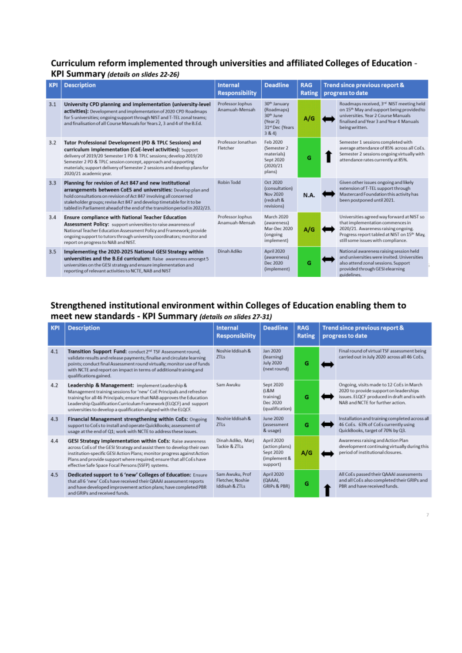#### Curriculum reform implemented through universities and affiliated Colleges of Education -KPI Summary (details on slides 22-26)

| <b>KPI</b> | <b>Description</b>                                                                                                                                                                                                                                                                                                                                                | <b>Internal</b><br><b>Responsibility</b> | <b>Deadline</b>                                                                                         | <b>RAG</b><br><b>Rating</b> | Trend since previous report &<br>progress to date                                                                                                                                                          |
|------------|-------------------------------------------------------------------------------------------------------------------------------------------------------------------------------------------------------------------------------------------------------------------------------------------------------------------------------------------------------------------|------------------------------------------|---------------------------------------------------------------------------------------------------------|-----------------------------|------------------------------------------------------------------------------------------------------------------------------------------------------------------------------------------------------------|
| 3.1        | University CPD planning and implementation (university-level<br>activities): Development and implementation of 2020 CPD Roadmaps<br>for 5 universities; ongoing support through NIST and T-TEL zonal teams;<br>and finalisation of all Course Manuals for Years 2, 3 and 4 of the B.Ed.                                                                           | Professor Jophus<br>Anamuah-Mensah       | 30 <sup>th</sup> January<br>(Roadmaps)<br>30 <sup>th</sup> June<br>(Year 2)<br>31st Dec (Years<br>3 & 4 | A/G                         | Roadmaps received, 3rd NIST meeting held<br>on 15 <sup>th</sup> May and support being provided to<br>universities. Year 2 Course Manuals<br>finalised and Year 3 and Year 4 Manuals<br>being written.      |
| 3.2        | Tutor Professional Development (PD & TPLC Sessions) and<br>curriculum implementation (CoE-level activities): Support<br>delivery of 2019/20 Semester 1 PD & TPLC sessions; develop 2019/20<br>Semester 2 PD & TPLC session concept, approach and supporting<br>materials; support delivery of Semester 2 sessions and develop plans for<br>2020/21 academic year. | Professor Jonathan<br>Fletcher           | Feb 2020<br>(Semester 2<br>materials)<br>Sept 2020<br>(2020/21)<br>plans)                               | G                           | Semester 1 sessions completed with<br>average attendance of 85% across all CoEs.<br>Semester 2 sessions ongoing virtually with<br>attendance rates currently at 85%.                                       |
| 3.3        | Planning for revision of Act 847 and new institutional<br>arrangements between CoES and universities: Develop plan and<br>hold consultations on revision of Act 847 involving all concerned<br>stakeholder groups; revise Act 847 and develop timetable for it to be<br>tabled in Parliament ahead of the end of the transition period in 2022/23.                | Robin Todd                               | Oct 2020<br>(consultation)<br>Nov 2020<br>(redraft &<br>revisions)                                      | N.A.                        | Given other issues ongoing and likely<br>extension of T-TEL support through<br>Mastercard Foundation this activity has<br>been postponed until 2021.                                                       |
| 3.4        | Ensure compliance with National Teacher Education<br>Assessment Policy: support universities to raise awareness of<br>National Teacher Education Assessment Policy and Framework; provide<br>ongoing support to tutors through university coordinators; monitor and<br>report on progress to NAB and NIST.                                                        | Professor Jophus<br>Anamuah-Mensah       | March 2020<br>(awareness)<br>Mar-Dec 2020<br>(ongoing<br>implement)                                     | A/G                         | Universities agreed way forward at NIST so<br>that implementation commences in<br>2020/21. Awareness raising ongoing.<br>Progress report tabled at NIST on 15th May,<br>still some issues with compliance. |
| 3.5        | Implementing the 2020-2025 National GESI Strategy within<br>universities and the B.Ed curriculum: Raise awareness amongst 5<br>universities on the GESI strategy and ensure implementation and<br>reporting of relevant activities to NCTE, NAB and NIST                                                                                                          | Dinah Adiko                              | April 2020<br>(awareness)<br>Dec 2020<br>(implement)                                                    | G                           | National awareness raising session held<br>and universities were invited. Universities<br>also attend zonal sessions. Support<br>provided through GESI elearning<br>guidelines.                            |

### Strengthened institutional environment within Colleges of Education enabling them to meet new standards - KPI Summary (details on slides 27-31)

| <b>KPI</b> | <b>Description</b>                                                                                                                                                                                                                                                                                                                         | <b>Internal</b><br><b>Responsibility</b>              | <b>Deadline</b>                                                       | <b>RAG</b><br><b>Rating</b> | Trend since previous report &<br>progress to date |                                                                                                                                                                       |  |
|------------|--------------------------------------------------------------------------------------------------------------------------------------------------------------------------------------------------------------------------------------------------------------------------------------------------------------------------------------------|-------------------------------------------------------|-----------------------------------------------------------------------|-----------------------------|---------------------------------------------------|-----------------------------------------------------------------------------------------------------------------------------------------------------------------------|--|
| 4.1        | Transition Support Fund: conduct 2 <sup>nd</sup> TSF Assessment round,<br>validate results and release payments; finalise and circulate learning<br>points; conduct final Assessment round virtually; monitor use of funds<br>with NCTE and report on impact in terms of additional training and<br>qualifications gained.                 | Noshie Iddisah &<br><b>ZTLs</b>                       | Jan 2020<br>(learning)<br>July 2020<br>(next round)                   | G                           |                                                   | Final round of virtual TSF assessment being<br>carried out in July 2020 across all 46 CoEs.                                                                           |  |
| 4.2        | Leadership & Management: implement Leadership &<br>Management training sessions for 'new' CoE Principals and refresher<br>training for all 46 Principals; ensure that NAB approves the Education<br>Leadership Qualification Curriculum Framework (ELQCF) and support<br>universities to develop a qualification aligned with the ELQCF.   | Sam Awuku                                             | Sept 2020<br>(LRM)<br>training)<br>Dec 2020<br>(qualification)        | G                           |                                                   | Ongoing, visits made to 12 CoEs in March<br>2020 to provide support on leaderships<br>issues. ELQCF produced in draft and is with<br>NAB and NCTE for further action. |  |
| 4.3        | Financial Management strengthening within CoEs: Ongoing<br>support to CoEs to install and operate QuickBooks; assessment of<br>usage at the end of Q1; work with NCTE to address these issues.                                                                                                                                             | Noshie Iddisah &<br><b>ZTLs</b>                       | June 2020<br>lassessment<br>& usage)                                  | G                           |                                                   | Installation and training completed across all<br>46 CoEs. 63% of CoEs currently using<br>QuickBooks, target of 70% by Q3.                                            |  |
| 4.4        | GESI Strategy implementation within CoEs: Raise awareness<br>across CoEs of the GESI Strategy and assist them to develop their own<br>institution-specific GESI Action Plans; monitor progress against Action<br>Plans and provide support where required; ensure that all CoEs have<br>effective Safe Space Focal Persons (SSFP) systems. | Dinah Adiko, Marj<br>Tackie & ZTLs                    | April 2020<br>(action plans)<br>Sept 2020<br>(implement &<br>support) | A/G                         |                                                   | Awareness raising and Action Plan<br>development continuing virtually during this<br>period of institutional closures.                                                |  |
| 4.5        | Dedicated support to 6 'new' Colleges of Education: Ensure<br>that all 6 'new' CoEs have received their QAAAI assessment reports<br>and have developed improvement action plans; have completed PBR<br>and GRIPs and received funds.                                                                                                       | Sam Awuku, Prof<br>Fletcher, Noshie<br>Iddisah & ZTLs | April 2020<br>(QAAAI,<br>GRIPs & PBRI                                 | G                           |                                                   | All CoEs passed their QAAAI assessments<br>and all CoEs also completed their GRIPs and<br>PBR and have received funds.                                                |  |